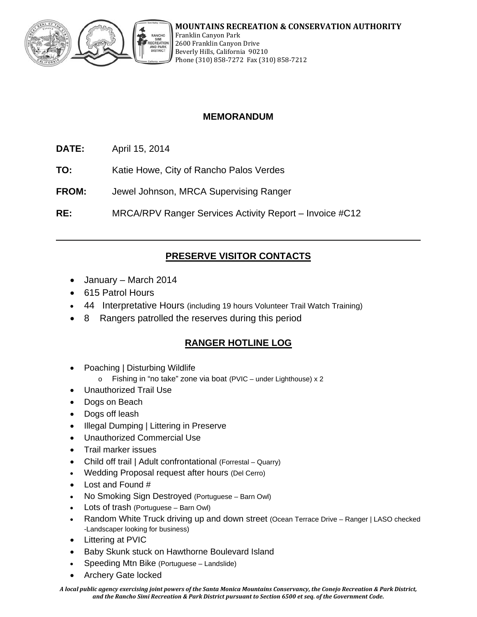

# **MEMORANDUM**

- **DATE:** April 15, 2014
- **TO:** Katie Howe, City of Rancho Palos Verdes
- **FROM:** Jewel Johnson, MRCA Supervising Ranger

**RE:** MRCA/RPV Ranger Services Activity Report – Invoice #C12

# **PRESERVE VISITOR CONTACTS**

- January March 2014
- 615 Patrol Hours
- 44 Interpretative Hours (including 19 hours Volunteer Trail Watch Training)
- 8 Rangers patrolled the reserves during this period

# **RANGER HOTLINE LOG**

- Poaching | Disturbing Wildlife
	- o Fishing in "no take" zone via boat (PVIC under Lighthouse) x 2
- Unauthorized Trail Use
- Dogs on Beach
- Dogs off leash
- Illegal Dumping | Littering in Preserve
- Unauthorized Commercial Use
- Trail marker issues
- Child off trail | Adult confrontational (Forrestal Quarry)
- Wedding Proposal request after hours (Del Cerro)
- Lost and Found #
- No Smoking Sign Destroyed (Portuguese Barn Owl)
- Lots of trash (Portuguese Barn Owl)
- Random White Truck driving up and down street (Ocean Terrace Drive Ranger | LASO checked -Landscaper looking for business)
- Littering at PVIC
- Baby Skunk stuck on Hawthorne Boulevard Island
- Speeding Mtn Bike (Portuguese Landslide)
- Archery Gate locked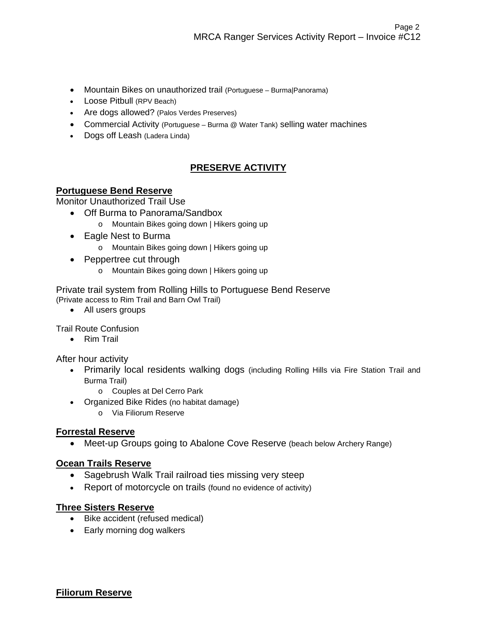- Mountain Bikes on unauthorized trail (Portuguese Burma|Panorama)
- Loose Pitbull (RPV Beach)
- Are dogs allowed? (Palos Verdes Preserves)
- Commercial Activity (Portuguese Burma @ Water Tank) selling water machines
- Dogs off Leash (Ladera Linda)

# **PRESERVE ACTIVITY**

## **Portuguese Bend Reserve**

Monitor Unauthorized Trail Use

- Off Burma to Panorama/Sandbox
	- o Mountain Bikes going down | Hikers going up
- Eagle Nest to Burma
	- o Mountain Bikes going down | Hikers going up
- Peppertree cut through
	- o Mountain Bikes going down | Hikers going up

Private trail system from Rolling Hills to Portuguese Bend Reserve (Private access to Rim Trail and Barn Owl Trail)

All users groups

Trail Route Confusion

• Rim Trail

After hour activity

- Primarily local residents walking dogs (including Rolling Hills via Fire Station Trail and Burma Trail)
	- o Couples at Del Cerro Park
- Organized Bike Rides (no habitat damage)
	- o Via Filiorum Reserve

## **Forrestal Reserve**

Meet-up Groups going to Abalone Cove Reserve (beach below Archery Range)

#### **Ocean Trails Reserve**

- Sagebrush Walk Trail railroad ties missing very steep
- Report of motorcycle on trails (found no evidence of activity)

## **Three Sisters Reserve**

- Bike accident (refused medical)
- Early morning dog walkers

## **Filiorum Reserve**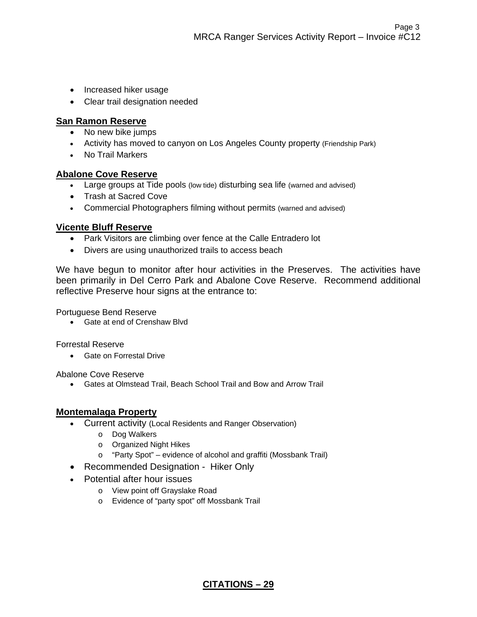- Increased hiker usage
- Clear trail designation needed

## **San Ramon Reserve**

- No new bike jumps
- Activity has moved to canyon on Los Angeles County property (Friendship Park)
- No Trail Markers

#### **Abalone Cove Reserve**

- Large groups at Tide pools (low tide) disturbing sea life (warned and advised)
- Trash at Sacred Cove
- Commercial Photographers filming without permits (warned and advised)

## **Vicente Bluff Reserve**

- Park Visitors are climbing over fence at the Calle Entradero lot
- Divers are using unauthorized trails to access beach

We have begun to monitor after hour activities in the Preserves. The activities have been primarily in Del Cerro Park and Abalone Cove Reserve. Recommend additional reflective Preserve hour signs at the entrance to:

Portuguese Bend Reserve

Gate at end of Crenshaw Blvd

Forrestal Reserve

**•** Gate on Forrestal Drive

Abalone Cove Reserve

Gates at Olmstead Trail, Beach School Trail and Bow and Arrow Trail

## **Montemalaga Property**

- Current activity (Local Residents and Ranger Observation)
	- o Dog Walkers
	- o Organized Night Hikes
	- o "Party Spot" evidence of alcohol and graffiti (Mossbank Trail)
- Recommended Designation Hiker Only
- Potential after hour issues
	- o View point off Grayslake Road
	- o Evidence of "party spot" off Mossbank Trail

**CITATIONS – 29**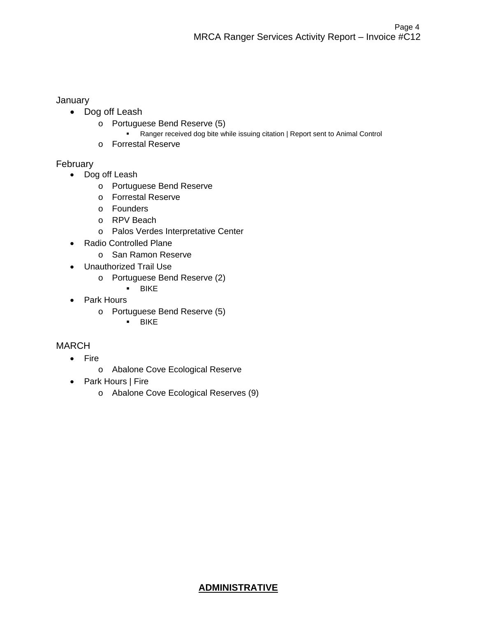#### **January**

- Dog off Leash
	- o Portuguese Bend Reserve (5)
		- Ranger received dog bite while issuing citation | Report sent to Animal Control
	- o Forrestal Reserve

# February

- Dog off Leash
	- o Portuguese Bend Reserve
	- o Forrestal Reserve
	- o Founders
	- o RPV Beach
	- o Palos Verdes Interpretative Center
- Radio Controlled Plane
	- o San Ramon Reserve
- Unauthorized Trail Use
	- o Portuguese Bend Reserve (2)
		- **BIKE**
- Park Hours
	- o Portuguese Bend Reserve (5)
		- BIKE

# MARCH

- Fire
	- o Abalone Cove Ecological Reserve
- Park Hours | Fire
	- o Abalone Cove Ecological Reserves (9)

# **ADMINISTRATIVE**